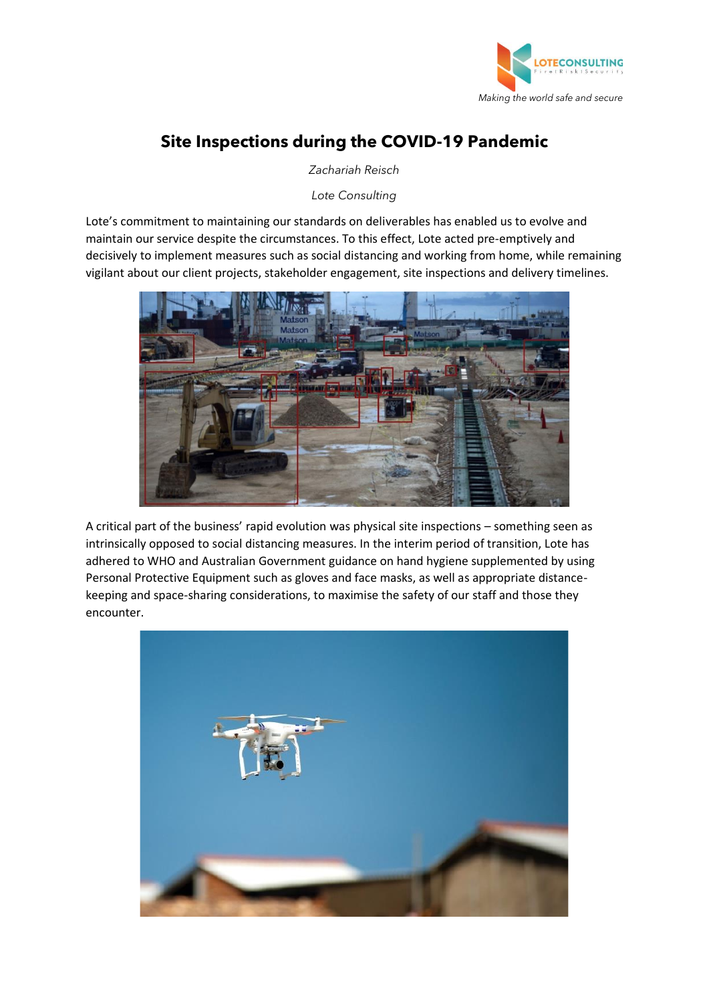

## **Site Inspections during the COVID-19 Pandemic**

*Zachariah Reisch*

*Lote Consulting*

Lote's commitment to maintaining our standards on deliverables has enabled us to evolve and maintain our service despite the circumstances. To this effect, Lote acted pre-emptively and decisively to implement measures such as social distancing and working from home, while remaining vigilant about our client projects, stakeholder engagement, site inspections and delivery timelines.



A critical part of the business' rapid evolution was physical site inspections – something seen as intrinsically opposed to social distancing measures. In the interim period of transition, Lote has adhered to WHO and Australian Government guidance on hand hygiene supplemented by using Personal Protective Equipment such as gloves and face masks, as well as appropriate distancekeeping and space-sharing considerations, to maximise the safety of our staff and those they encounter.